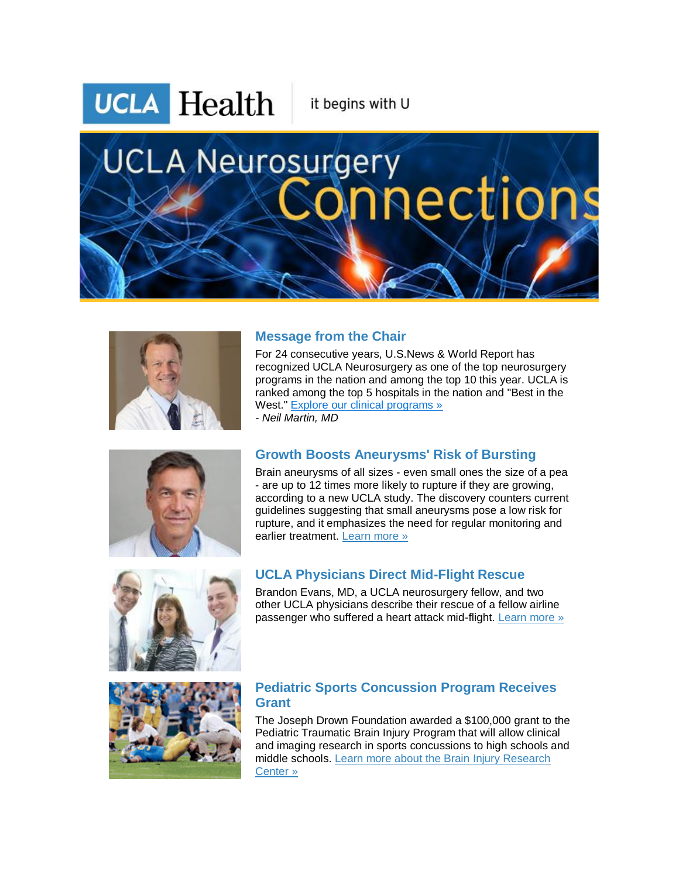**UCLA** Health

it begins with U

# **UCLA Neurosurgery** nections



# **Message from the Chair**

For 24 consecutive years, U.S.News & World Report has recognized UCLA Neurosurgery as one of the top neurosurgery programs in the nation and among the top 10 this year. UCLA is ranked among the top 5 hospitals in the nation and "Best in the West." [Explore our clinical programs »](http://r20.rs6.net/tn.jsp?e=001baoe3N4l4KehYV3ml19gJYhPZKVWl3Bi-2YARIwy5ndrmxF878TeAVTOhPj69v-3dSn4BOh2SzNGZh8guWnfyF0F4VKB8Evsrkg-iNEU-MS2RnhU3RxQyFSSN-MGEU1AUvYEhW6fYegvqvfhNVejXAWG4WbfKedn7ld8V91fXvgX2cIfEzX5PpDIht9xgSnv9E48PzKKMm4e7D04Y4bCCTkjtVyjUyaV5leUjC5WH_Q-AdKicAh1HK7q-LNPZkEBN5_X599TXbg2C-gG_Lnr15gL9cg7ml-i-czBtLsqXx7mOUQAJxqx6w==) *- Neil Martin, MD*



# **Growth Boosts Aneurysms' Risk of Bursting**

Brain aneurysms of all sizes - even small ones the size of a pea - are up to 12 times more likely to rupture if they are growing, according to a new UCLA study. The discovery counters current guidelines suggesting that small aneurysms pose a low risk for rupture, and it emphasizes the need for regular monitoring and earlier treatment. [Learn more »](http://r20.rs6.net/tn.jsp?e=001baoe3N4l4Kc6TzYSE_K2pP_P6FEivFoNgF-Rq2hdyEmi7FLu_Mv4Kh8i1hfNBKqhBXpB7c5z9qv57uSa-WFS8jBg8-YfiQEyCU5dkVl5KP6i_JRrFIOgjcfLaDRX5xPIUp5le-B03ApYrQChEAGQNVF557Qhbr3hMpz3ln0FuY8suYBOZd3L-B_8R2w3-oJIeGh1Gdcw7ExvzIdpR3Qh5UDBnAtdWOvGoTSt56_shUca6aXwmlReV6tFR2Eg-Ks2VFad3P1MNVCCnmxTkAf3der2S6YJZd21WXiApoG6oyCyVDXhlX2VuS5ebo7sKr8BNJmr7Nkf8IC2lkTvGL3ETw==)



#### **UCLA Physicians Direct Mid-Flight Rescue**

Brandon Evans, MD, a UCLA neurosurgery fellow, and two other UCLA physicians describe their rescue of a fellow airline passenger who suffered a heart attack mid-flight. [Learn more »](http://r20.rs6.net/tn.jsp?e=001baoe3N4l4Kdny0gKZ6MO7rewvr6E1mGVboKkB52REtpJW9Ehy1YFGjUyo0Ii0rc2w-69lB-BZ9WKeynYzsowkZ3HMVTNbgE_7tCxBJw3EtW_WUhvg9DIIFXVlyxdghSVKyziEAlxocYVVwWGpkfb5YT-wysWDjnstgpiqWNI__CZhB75drrLllZPoy_yk6MRqgAzfImA1Z9oXHAa3DApTUcZy8WoPZAAhiimOccHY-EQ_3lRHlN1UoSvljM2yo2t9XTgX22TXCC568gzBvVonalyDYMCpWeceeRmtEQtuedW8F5vxGTh7Cy3quTT52TTGydeZnI7PAfctiDvPFgH2Q==)



#### **Pediatric Sports Concussion Program Receives Grant**

The Joseph Drown Foundation awarded a \$100,000 grant to the Pediatric Traumatic Brain Injury Program that will allow clinical and imaging research in sports concussions to high schools and middle schools. [Learn more about the Brain](http://r20.rs6.net/tn.jsp?e=001baoe3N4l4Ke3ZQlaC2nU-F7lYFuSQWtKq4gw0R4dE5i-PtTrFHbYAulyqeBTj8P_h56Llnr0kPmGgU8K2RAB0kgngsdBiyvK0Eh2d8VT-PkroQwXjzbP1Te0HUnzvRyF57f8lxW97sXwHs_qrp01RwjNU-CCmUKgNtOGf7whL5ELtlhQWSmqp_bCyneuI2n18rIrIkyB0SdRTtZfWLiZp6S-L-WO1HPLvO28PmQozkowzNsLXAm6jzvC6B2VWKkhQML_iIv8ZCpSonf9PwjoyuimzOdKeQSBw1oPmrGJjy3Q_U0C77SfcQ==) Injury Research [Center](http://r20.rs6.net/tn.jsp?e=001baoe3N4l4Ke3ZQlaC2nU-F7lYFuSQWtKq4gw0R4dE5i-PtTrFHbYAulyqeBTj8P_h56Llnr0kPmGgU8K2RAB0kgngsdBiyvK0Eh2d8VT-PkroQwXjzbP1Te0HUnzvRyF57f8lxW97sXwHs_qrp01RwjNU-CCmUKgNtOGf7whL5ELtlhQWSmqp_bCyneuI2n18rIrIkyB0SdRTtZfWLiZp6S-L-WO1HPLvO28PmQozkowzNsLXAm6jzvC6B2VWKkhQML_iIv8ZCpSonf9PwjoyuimzOdKeQSBw1oPmrGJjy3Q_U0C77SfcQ==) »